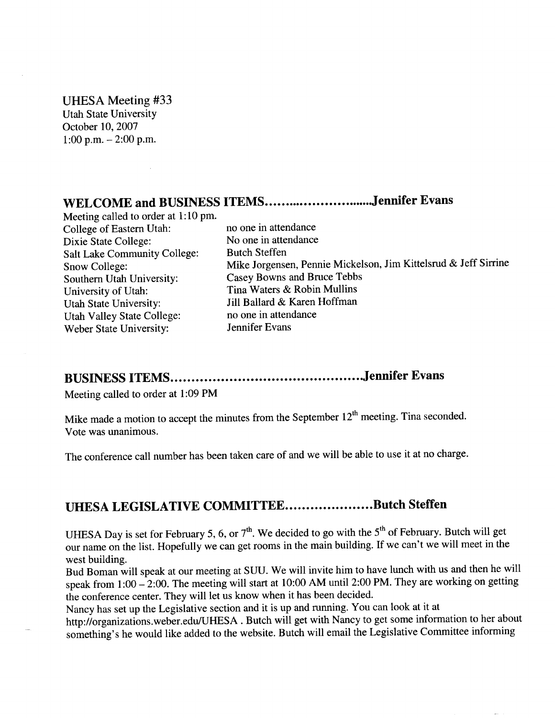#### UHESA Meeting #33

Utah State University October 10,2007 1:00 p.m.  $-2:00$  p.m.

# WELCOME and BUSINESS ITEMS.............................Jennifer Evans

Meeting called to order at 1:10 pm. College of Eastern Utah: no one in attendance Dixie State College: No one in attendance Salt Lake Community College: Butch Steffen Southern Utah University: Casey Bowns and Bruce Tebbs University of Utah: Tina Waters & Robin Mullins Utah State University: Jill Ballard & Karen Hoffman Utah Valley State College: no one in attendance Weber State University: Jennifer Evans

Snow College: Mike Jorgensen, Pennie Mickelson, Jim Kittelsrud & Jeff Sirrine

## **BUSINESS ITEMS Jennifer Evans**

Meeting called to order at 1:09 PM

Mike made a motion to accept the minutes from the September  $12<sup>th</sup>$  meeting. Tina seconded. Vote was unanimous.

The conference call number has been taken care of and we will be able to use it at no charge.

## **UHESA LEGISLATIVE COMMITTEE.....................Butch Steffen**

UHESA Day is set for February 5, 6, or  $7<sup>th</sup>$ . We decided to go with the  $5<sup>th</sup>$  of February. Butch will get our name on the list. Hopefully we can get rooms in the main building. If we can't we will meet in the west building.

Bud Boman will speak at our meeting at SUU. We will invite him to have lunch with us and then he will speak from  $1:00 - 2:00$ . The meeting will start at 10:00 AM until 2:00 PM. They are working on getting the conference center. They will let us know when it has been decided.

Nancy has set up the Legislative section and it is up and running. You can look at it at

http://organizations.weber.edu/UHESA . Butch will get with Nancy to get some information to her about something's he would like added to the website. Butch will email the Legislative Committee informing